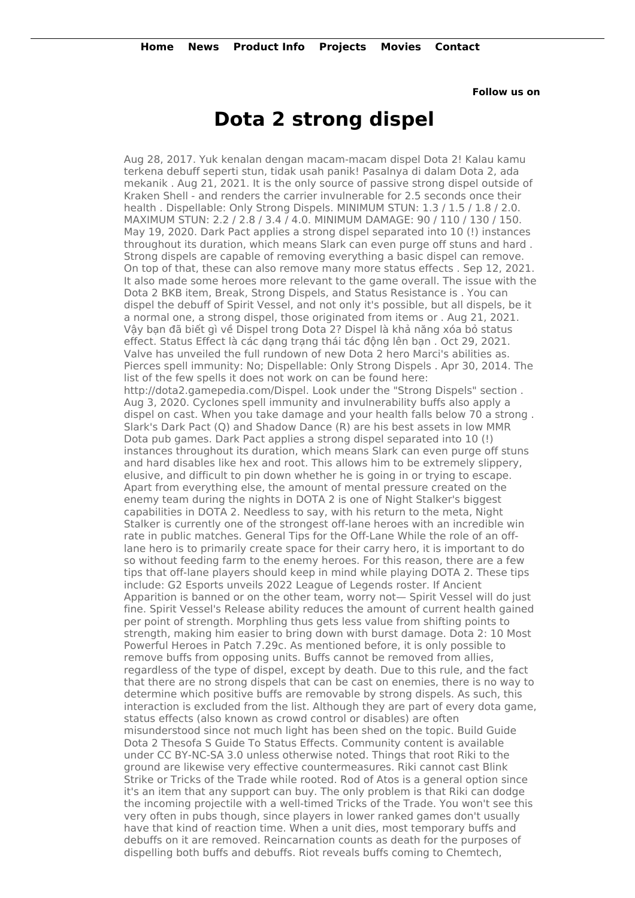**Follow us on**

## **Dota 2 strong dispel**

Aug 28, 2017. Yuk kenalan dengan macam-macam dispel Dota 2! Kalau kamu terkena debuff seperti stun, tidak usah panik! Pasalnya di dalam Dota 2, ada mekanik . Aug 21, 2021. It is the only source of passive strong dispel outside of Kraken Shell - and renders the carrier invulnerable for 2.5 seconds once their health . Dispellable: Only Strong Dispels. MINIMUM STUN: 1.3 / 1.5 / 1.8 / 2.0. MAXIMUM STUN: 2.2 / 2.8 / 3.4 / 4.0. MINIMUM DAMAGE: 90 / 110 / 130 / 150. May 19, 2020. Dark Pact applies a strong dispel separated into 10 (!) instances throughout its duration, which means Slark can even purge off stuns and hard . Strong dispels are capable of removing everything a basic dispel can remove. On top of that, these can also remove many more status effects . Sep 12, 2021. It also made some heroes more relevant to the game overall. The issue with the Dota 2 BKB item, Break, Strong Dispels, and Status Resistance is . You can dispel the debuff of Spirit Vessel, and not only it's possible, but all dispels, be it a normal one, a strong dispel, those originated from items or . Aug 21, 2021. Vậy bạn đã biết gì về Dispel trong Dota 2? Dispel là khả năng xóa bỏ status effect. Status Effect là các dang trạng thái tác động lên bạn. Oct 29, 2021. Valve has unveiled the full rundown of new Dota 2 hero Marci's abilities as. Pierces spell immunity: No; Dispellable: Only Strong Dispels . Apr 30, 2014. The list of the few spells it does not work on can be found here: http://dota2.gamepedia.com/Dispel. Look under the "Strong Dispels" section . Aug 3, 2020. Cyclones spell immunity and invulnerability buffs also apply a dispel on cast. When you take damage and your health falls below 70 a strong . Slark's Dark Pact (Q) and Shadow Dance (R) are his best assets in low MMR Dota pub games. Dark Pact applies a strong dispel separated into 10 (!) instances throughout its duration, which means Slark can even purge off stuns and hard disables like hex and root. This allows him to be extremely slippery, elusive, and difficult to pin down whether he is going in or trying to escape. Apart from everything else, the amount of mental pressure created on the enemy team during the nights in DOTA 2 is one of Night Stalker's biggest capabilities in DOTA 2. Needless to say, with his return to the meta, Night Stalker is currently one of the strongest off-lane heroes with an incredible win rate in public matches. General Tips for the Off-Lane While the role of an offlane hero is to primarily create space for their carry hero, it is important to do so without feeding farm to the enemy heroes. For this reason, there are a few tips that off-lane players should keep in mind while playing DOTA 2. These tips include: G2 Esports unveils 2022 League of Legends roster. If Ancient Apparition is banned or on the other team, worry not— Spirit Vessel will do just fine. Spirit Vessel's Release ability reduces the amount of current health gained per point of strength. Morphling thus gets less value from shifting points to strength, making him easier to bring down with burst damage. Dota 2: 10 Most Powerful Heroes in Patch 7.29c. As mentioned before, it is only possible to remove buffs from opposing units. Buffs cannot be removed from allies, regardless of the type of dispel, except by death. Due to this rule, and the fact that there are no strong dispels that can be cast on enemies, there is no way to determine which positive buffs are removable by strong dispels. As such, this interaction is excluded from the list. Although they are part of every dota game, status effects (also known as crowd control or disables) are often misunderstood since not much light has been shed on the topic. Build Guide Dota 2 Thesofa S Guide To Status Effects. Community content is available under CC BY-NC-SA 3.0 unless otherwise noted. Things that root Riki to the ground are likewise very effective countermeasures. Riki cannot cast Blink Strike or Tricks of the Trade while rooted. Rod of Atos is a general option since it's an item that any support can buy. The only problem is that Riki can dodge the incoming projectile with a well-timed Tricks of the Trade. You won't see this very often in pubs though, since players in lower ranked games don't usually have that kind of reaction time. When a unit dies, most temporary buffs and debuffs on it are removed. Reincarnation counts as death for the purposes of dispelling both buffs and debuffs. Riot reveals buffs coming to Chemtech,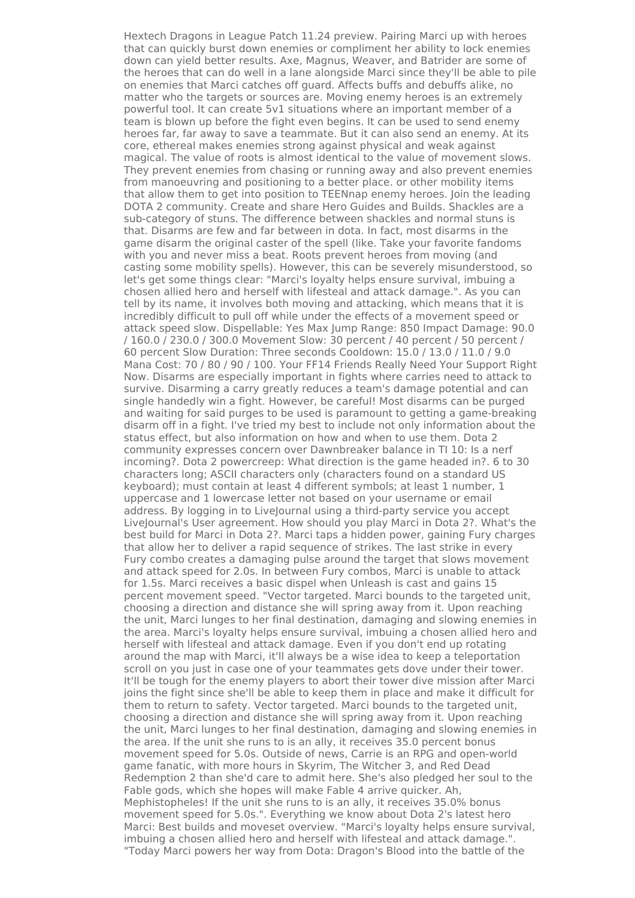Hextech Dragons in League Patch 11.24 preview. Pairing Marci up with heroes that can quickly burst down enemies or compliment her ability to lock enemies down can yield better results. Axe, Magnus, Weaver, and Batrider are some of the heroes that can do well in a lane alongside Marci since they'll be able to pile on enemies that Marci catches off guard. Affects buffs and debuffs alike, no matter who the targets or sources are. Moving enemy heroes is an extremely powerful tool. It can create 5v1 situations where an important member of a team is blown up before the fight even begins. It can be used to send enemy heroes far, far away to save a teammate. But it can also send an enemy. At its core, ethereal makes enemies strong against physical and weak against magical. The value of roots is almost identical to the value of movement slows. They prevent enemies from chasing or running away and also prevent enemies from manoeuvring and positioning to a better place. or other mobility items that allow them to get into position to TEENnap enemy heroes. Join the leading DOTA 2 community. Create and share Hero Guides and Builds. Shackles are a sub-category of stuns. The difference between shackles and normal stuns is that. Disarms are few and far between in dota. In fact, most disarms in the game disarm the original caster of the spell (like. Take your favorite fandoms with you and never miss a beat. Roots prevent heroes from moving (and casting some mobility spells). However, this can be severely misunderstood, so let's get some things clear: "Marci's loyalty helps ensure survival, imbuing a chosen allied hero and herself with lifesteal and attack damage.". As you can tell by its name, it involves both moving and attacking, which means that it is incredibly difficult to pull off while under the effects of a movement speed or attack speed slow. Dispellable: Yes Max Jump Range: 850 Impact Damage: 90.0 / 160.0 / 230.0 / 300.0 Movement Slow: 30 percent / 40 percent / 50 percent / 60 percent Slow Duration: Three seconds Cooldown: 15.0 / 13.0 / 11.0 / 9.0 Mana Cost: 70 / 80 / 90 / 100. Your FF14 Friends Really Need Your Support Right Now. Disarms are especially important in fights where carries need to attack to survive. Disarming a carry greatly reduces a team's damage potential and can single handedly win a fight. However, be careful! Most disarms can be purged and waiting for said purges to be used is paramount to getting a game-breaking disarm off in a fight. I've tried my best to include not only information about the status effect, but also information on how and when to use them. Dota 2 community expresses concern over Dawnbreaker balance in TI 10: Is a nerf incoming?. Dota 2 powercreep: What direction is the game headed in?. 6 to 30 characters long; ASCII characters only (characters found on a standard US keyboard); must contain at least 4 different symbols; at least 1 number, 1 uppercase and 1 lowercase letter not based on your username or email address. By logging in to LiveJournal using a third-party service you accept LiveJournal's User agreement. How should you play Marci in Dota 2?. What's the best build for Marci in Dota 2?. Marci taps a hidden power, gaining Fury charges that allow her to deliver a rapid sequence of strikes. The last strike in every Fury combo creates a damaging pulse around the target that slows movement and attack speed for 2.0s. In between Fury combos, Marci is unable to attack for 1.5s. Marci receives a basic dispel when Unleash is cast and gains 15 percent movement speed. "Vector targeted. Marci bounds to the targeted unit, choosing a direction and distance she will spring away from it. Upon reaching the unit, Marci lunges to her final destination, damaging and slowing enemies in the area. Marci's loyalty helps ensure survival, imbuing a chosen allied hero and herself with lifesteal and attack damage. Even if you don't end up rotating around the map with Marci, it'll always be a wise idea to keep a teleportation scroll on you just in case one of your teammates gets dove under their tower. It'll be tough for the enemy players to abort their tower dive mission after Marci joins the fight since she'll be able to keep them in place and make it difficult for them to return to safety. Vector targeted. Marci bounds to the targeted unit, choosing a direction and distance she will spring away from it. Upon reaching the unit, Marci lunges to her final destination, damaging and slowing enemies in the area. If the unit she runs to is an ally, it receives 35.0 percent bonus movement speed for 5.0s. Outside of news, Carrie is an RPG and open-world game fanatic, with more hours in Skyrim, The Witcher 3, and Red Dead Redemption 2 than she'd care to admit here. She's also pledged her soul to the Fable gods, which she hopes will make Fable 4 arrive quicker. Ah, Mephistopheles! If the unit she runs to is an ally, it receives 35.0% bonus movement speed for 5.0s.". Everything we know about Dota 2's latest hero Marci: Best builds and moveset overview. "Marci's loyalty helps ensure survival, imbuing a chosen allied hero and herself with lifesteal and attack damage.". "Today Marci powers her way from Dota: Dragon's Blood into the battle of the